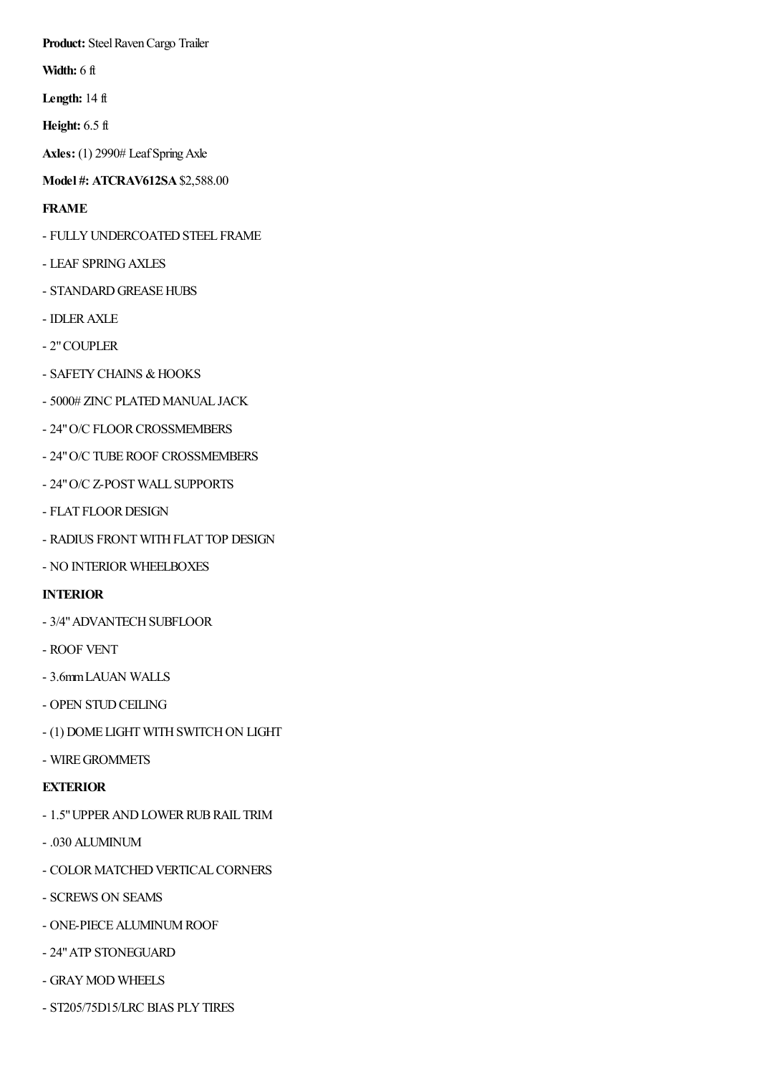Product: Steel Raven Cargo Trailer

**Width:** 6 ft

**Length:** 14 ft

**Height:** 6.5 ft

**Axles:** (1) 2990# LeafSpringAxle

## **Model #: ATCRAV612SA**\$2,588.00

## **FRAME**

- FULLY UNDERCOATED STEEL FRAME
- LEAF SPRINGAXLES
- STANDARD GREASE HUBS
- IDLERAXLE
- 2"COUPLER
- SAFETY CHAINS & HOOKS
- 5000# ZINC PLATED MANUAL JACK
- 24" O/C FLOOR CROSSMEMBERS
- 24" O/C TUBE ROOF CROSSMEMBERS
- 24"O/C Z-POSTWALL SUPPORTS
- FLAT FLOOR DESIGN
- RADIUS FRONT WITH FLAT TOP DESIGN
- NO INTERIOR WHEELBOXES

# **INTERIOR**

- 3/4" ADVANTECH SUBFLOOR
- ROOF VENT
- 3.6mmLAUAN WALLS
- OPEN STUD CEILING
- (1) DOME LIGHT WITH SWITCH ON LIGHT
- WIREGROMMETS

# **EXTERIOR**

- 1.5" UPPER AND LOWER RUB RAIL TRIM
- .030 ALUMINUM
- COLOR MATCHED VERTICAL CORNERS
- SCREWS ON SEAMS
- ONE-PIECE ALUMINUM ROOF
- 24"ATP STONEGUARD
- GRAYMOD WHEELS
- ST205/75D15/LRC BIAS PLYTIRES